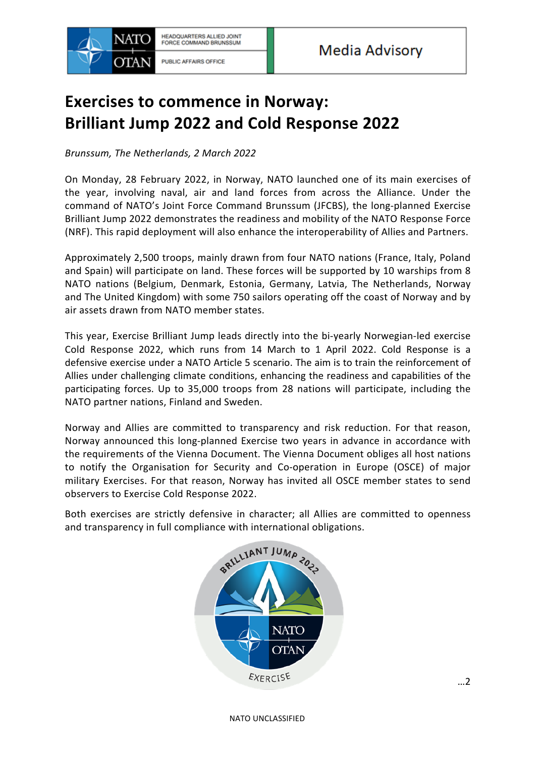

## **Exercises to commence in Norway: Brilliant Jump 2022 and Cold Response 2022**

*Brunssum, The Netherlands, 2 March 2022* 

On Monday, 28 February 2022, in Norway, NATO launched one of its main exercises of the year, involving naval, air and land forces from across the Alliance. Under the command of NATO's Joint Force Command Brunssum (JFCBS), the long-planned Exercise Brilliant Jump 2022 demonstrates the readiness and mobility of the NATO Response Force (NRF). This rapid deployment will also enhance the interoperability of Allies and Partners.

Approximately 2,500 troops, mainly drawn from four NATO nations (France, Italy, Poland and Spain) will participate on land. These forces will be supported by 10 warships from 8 NATO nations (Belgium, Denmark, Estonia, Germany, Latvia, The Netherlands, Norway and The United Kingdom) with some 750 sailors operating off the coast of Norway and by air assets drawn from NATO member states.

This year, Exercise Brilliant Jump leads directly into the bi-yearly Norwegian-led exercise Cold Response 2022, which runs from 14 March to 1 April 2022. Cold Response is a defensive exercise under a NATO Article 5 scenario. The aim is to train the reinforcement of Allies under challenging climate conditions, enhancing the readiness and capabilities of the participating forces. Up to 35,000 troops from 28 nations will participate, including the NATO partner nations, Finland and Sweden.

Norway and Allies are committed to transparency and risk reduction. For that reason, Norway announced this long-planned Exercise two years in advance in accordance with the requirements of the Vienna Document. The Vienna Document obliges all host nations to notify the Organisation for Security and Co-operation in Europe (OSCE) of major military Exercises. For that reason, Norway has invited all OSCE member states to send observers to Exercise Cold Response 2022.

Both exercises are strictly defensive in character; all Allies are committed to openness and transparency in full compliance with international obligations.